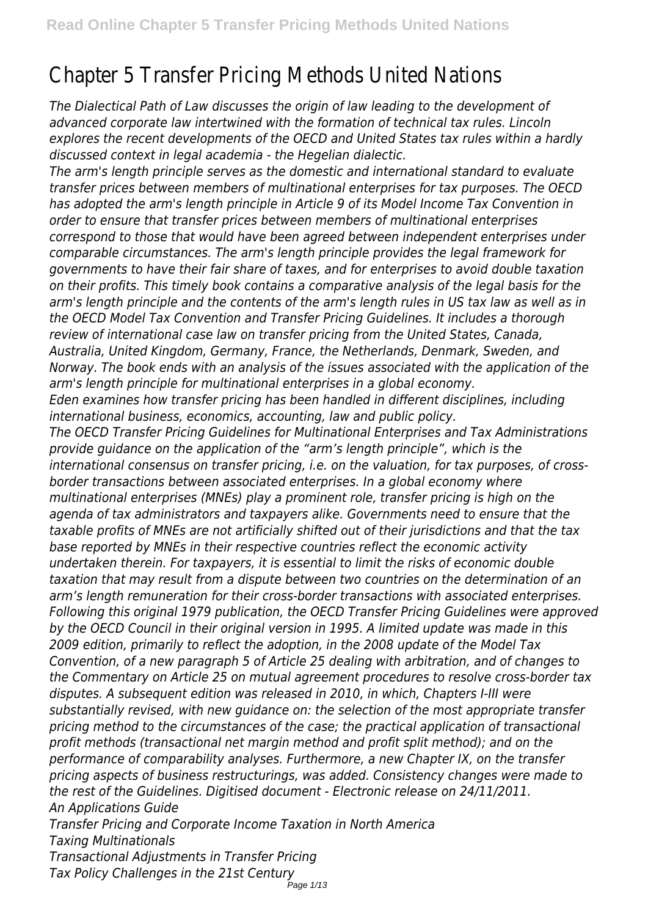## Chapter 5 Transfer Pricing Methods United Nations

*The Dialectical Path of Law discusses the origin of law leading to the development of advanced corporate law intertwined with the formation of technical tax rules. Lincoln explores the recent developments of the OECD and United States tax rules within a hardly discussed context in legal academia - the Hegelian dialectic.*

*The arm's length principle serves as the domestic and international standard to evaluate transfer prices between members of multinational enterprises for tax purposes. The OECD has adopted the arm's length principle in Article 9 of its Model Income Tax Convention in order to ensure that transfer prices between members of multinational enterprises correspond to those that would have been agreed between independent enterprises under comparable circumstances. The arm's length principle provides the legal framework for governments to have their fair share of taxes, and for enterprises to avoid double taxation on their profits. This timely book contains a comparative analysis of the legal basis for the arm's length principle and the contents of the arm's length rules in US tax law as well as in the OECD Model Tax Convention and Transfer Pricing Guidelines. It includes a thorough review of international case law on transfer pricing from the United States, Canada, Australia, United Kingdom, Germany, France, the Netherlands, Denmark, Sweden, and Norway. The book ends with an analysis of the issues associated with the application of the arm's length principle for multinational enterprises in a global economy. Eden examines how transfer pricing has been handled in different disciplines, including international business, economics, accounting, law and public policy. The OECD Transfer Pricing Guidelines for Multinational Enterprises and Tax Administrations provide guidance on the application of the "arm's length principle", which is the international consensus on transfer pricing, i.e. on the valuation, for tax purposes, of crossborder transactions between associated enterprises. In a global economy where multinational enterprises (MNEs) play a prominent role, transfer pricing is high on the agenda of tax administrators and taxpayers alike. Governments need to ensure that the taxable profits of MNEs are not artificially shifted out of their jurisdictions and that the tax base reported by MNEs in their respective countries reflect the economic activity undertaken therein. For taxpayers, it is essential to limit the risks of economic double taxation that may result from a dispute between two countries on the determination of an arm's length remuneration for their cross-border transactions with associated enterprises. Following this original 1979 publication, the OECD Transfer Pricing Guidelines were approved by the OECD Council in their original version in 1995. A limited update was made in this 2009 edition, primarily to reflect the adoption, in the 2008 update of the Model Tax Convention, of a new paragraph 5 of Article 25 dealing with arbitration, and of changes to the Commentary on Article 25 on mutual agreement procedures to resolve cross-border tax disputes. A subsequent edition was released in 2010, in which, Chapters I-III were substantially revised, with new guidance on: the selection of the most appropriate transfer pricing method to the circumstances of the case; the practical application of transactional profit methods (transactional net margin method and profit split method); and on the performance of comparability analyses. Furthermore, a new Chapter IX, on the transfer pricing aspects of business restructurings, was added. Consistency changes were made to the rest of the Guidelines. Digitised document - Electronic release on 24/11/2011. An Applications Guide Transfer Pricing and Corporate Income Taxation in North America Taxing Multinationals Transactional Adjustments in Transfer Pricing*

*Tax Policy Challenges in the 21st Century*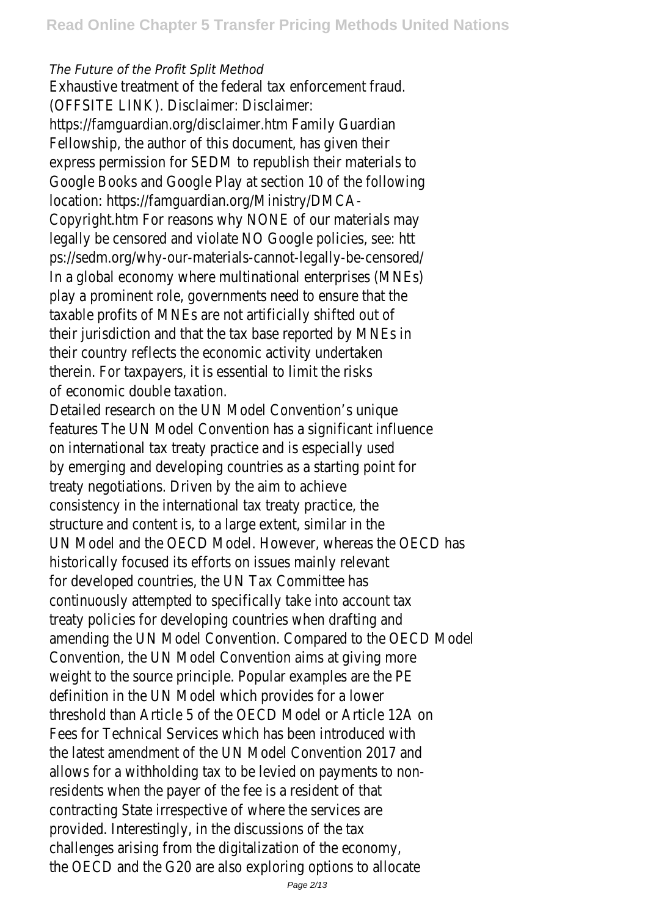## *The Future of the Profit Split Method*

Exhaustive treatment of the federal tax enforcement fraud. (OFFSITE LINK). Disclaimer: Disclaimer:

https://famguardian.org/disclaimer.htm Family Guardian Fellowship, the author of this document, has given their express permission for SEDM to republish their materials to Google Books and Google Play at section 10 of the following location: https://famguardian.org/Ministry/DMCA-

Copyright.htm For reasons why NONE of our materials may legally be censored and violate NO Google policies, see: htt ps://sedm.org/why-our-materials-cannot-legally-be-censored/ In a global economy where multinational enterprises (MNEs) play a prominent role, governments need to ensure that the taxable profits of MNEs are not artificially shifted out of their jurisdiction and that the tax base reported by MNEs in their country reflects the economic activity undertaken therein. For taxpayers, it is essential to limit the risks of economic double taxation.

Detailed research on the UN Model Convention's unique features The UN Model Convention has a significant influence on international tax treaty practice and is especially used by emerging and developing countries as a starting point for treaty negotiations. Driven by the aim to achieve consistency in the international tax treaty practice, the structure and content is, to a large extent, similar in the UN Model and the OECD Model. However, whereas the OECD has historically focused its efforts on issues mainly relevant for developed countries, the UN Tax Committee has continuously attempted to specifically take into account tax treaty policies for developing countries when drafting and amending the UN Model Convention. Compared to the OECD Model Convention, the UN Model Convention aims at giving more weight to the source principle. Popular examples are the PE definition in the UN Model which provides for a lower threshold than Article 5 of the OECD Model or Article 12A on Fees for Technical Services which has been introduced with the latest amendment of the UN Model Convention 2017 and allows for a withholding tax to be levied on payments to nonresidents when the payer of the fee is a resident of that contracting State irrespective of where the services are provided. Interestingly, in the discussions of the tax challenges arising from the digitalization of the economy, the OECD and the G20 are also exploring options to allocate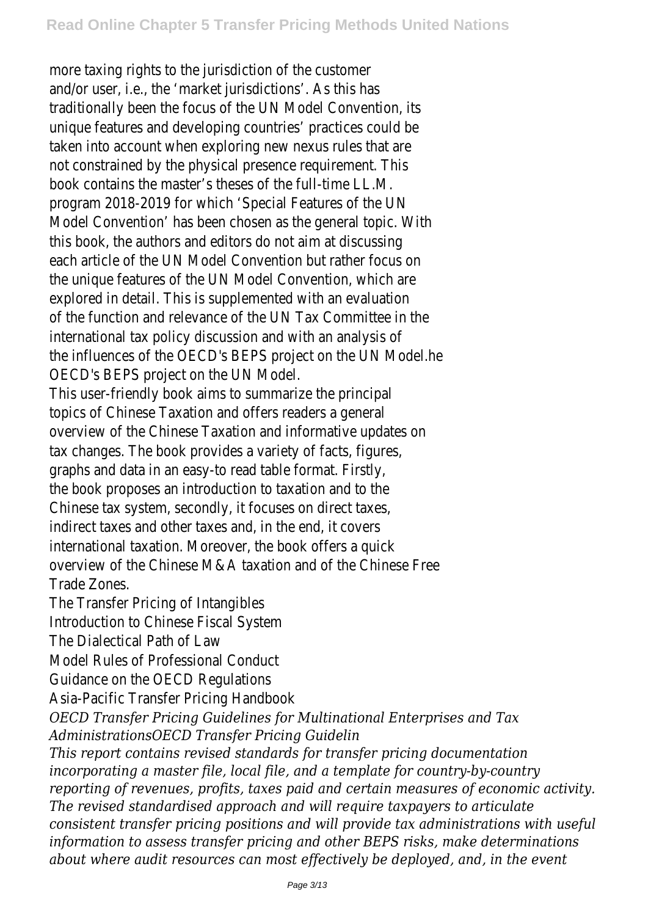more taxing rights to the jurisdiction of the customer and/or user, i.e., the 'market jurisdictions'. As this has traditionally been the focus of the UN Model Convention, its unique features and developing countries' practices could be taken into account when exploring new nexus rules that are not constrained by the physical presence requirement. This book contains the master's theses of the full-time LL.M. program 2018-2019 for which 'Special Features of the UN Model Convention' has been chosen as the general topic. With this book, the authors and editors do not aim at discussing each article of the UN Model Convention but rather focus on the unique features of the UN Model Convention, which are explored in detail. This is supplemented with an evaluation of the function and relevance of the UN Tax Committee in the international tax policy discussion and with an analysis of the influences of the OECD's BEPS project on the UN Model.he OECD's BEPS project on the UN Model.

This user-friendly book aims to summarize the principal topics of Chinese Taxation and offers readers a general overview of the Chinese Taxation and informative updates on tax changes. The book provides a variety of facts, figures, graphs and data in an easy-to read table format. Firstly, the book proposes an introduction to taxation and to the Chinese tax system, secondly, it focuses on direct taxes, indirect taxes and other taxes and, in the end, it covers international taxation. Moreover, the book offers a quick overview of the Chinese M&A taxation and of the Chinese Free Trade Zones.

The Transfer Pricing of Intangibles

Introduction to Chinese Fiscal System

The Dialectical Path of Law

Model Rules of Professional Conduct

Guidance on the OECD Regulations

Asia-Pacific Transfer Pricing Handbook

*OECD Transfer Pricing Guidelines for Multinational Enterprises and Tax AdministrationsOECD Transfer Pricing Guidelin*

*This report contains revised standards for transfer pricing documentation incorporating a master file, local file, and a template for country-by-country reporting of revenues, profits, taxes paid and certain measures of economic activity. The revised standardised approach and will require taxpayers to articulate consistent transfer pricing positions and will provide tax administrations with useful information to assess transfer pricing and other BEPS risks, make determinations about where audit resources can most effectively be deployed, and, in the event*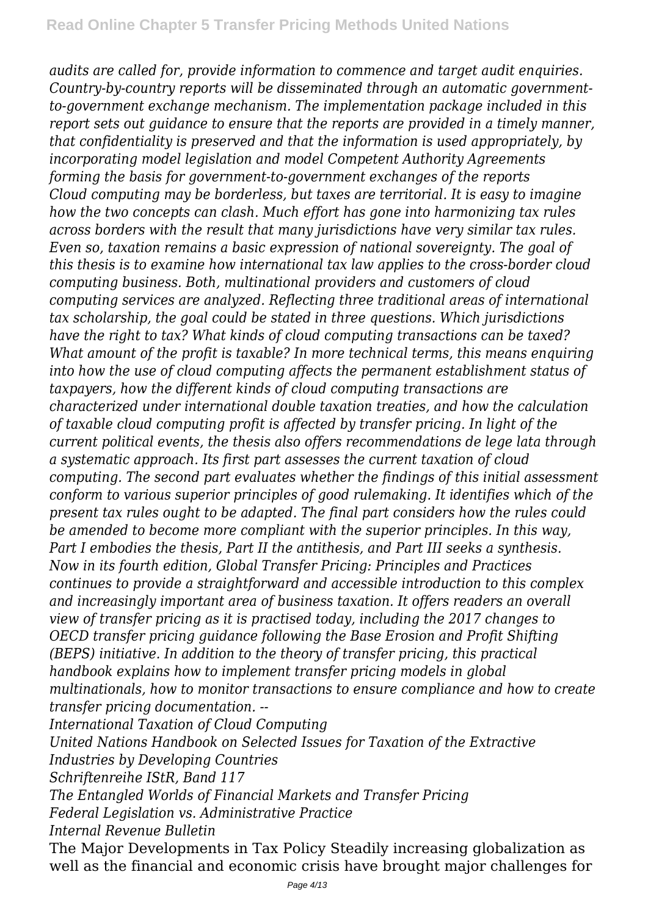*audits are called for, provide information to commence and target audit enquiries. Country-by-country reports will be disseminated through an automatic governmentto-government exchange mechanism. The implementation package included in this report sets out guidance to ensure that the reports are provided in a timely manner, that confidentiality is preserved and that the information is used appropriately, by incorporating model legislation and model Competent Authority Agreements forming the basis for government-to-government exchanges of the reports Cloud computing may be borderless, but taxes are territorial. It is easy to imagine how the two concepts can clash. Much effort has gone into harmonizing tax rules across borders with the result that many jurisdictions have very similar tax rules. Even so, taxation remains a basic expression of national sovereignty. The goal of this thesis is to examine how international tax law applies to the cross-border cloud computing business. Both, multinational providers and customers of cloud computing services are analyzed. Reflecting three traditional areas of international tax scholarship, the goal could be stated in three questions. Which jurisdictions have the right to tax? What kinds of cloud computing transactions can be taxed? What amount of the profit is taxable? In more technical terms, this means enquiring into how the use of cloud computing affects the permanent establishment status of taxpayers, how the different kinds of cloud computing transactions are characterized under international double taxation treaties, and how the calculation of taxable cloud computing profit is affected by transfer pricing. In light of the current political events, the thesis also offers recommendations de lege lata through a systematic approach. Its first part assesses the current taxation of cloud computing. The second part evaluates whether the findings of this initial assessment conform to various superior principles of good rulemaking. It identifies which of the present tax rules ought to be adapted. The final part considers how the rules could be amended to become more compliant with the superior principles. In this way, Part I embodies the thesis, Part II the antithesis, and Part III seeks a synthesis. Now in its fourth edition, Global Transfer Pricing: Principles and Practices continues to provide a straightforward and accessible introduction to this complex and increasingly important area of business taxation. It offers readers an overall view of transfer pricing as it is practised today, including the 2017 changes to OECD transfer pricing guidance following the Base Erosion and Profit Shifting (BEPS) initiative. In addition to the theory of transfer pricing, this practical handbook explains how to implement transfer pricing models in global multinationals, how to monitor transactions to ensure compliance and how to create transfer pricing documentation. -- International Taxation of Cloud Computing*

*United Nations Handbook on Selected Issues for Taxation of the Extractive Industries by Developing Countries*

*Schriftenreihe IStR, Band 117*

*The Entangled Worlds of Financial Markets and Transfer Pricing*

*Federal Legislation vs. Administrative Practice*

*Internal Revenue Bulletin*

The Major Developments in Tax Policy Steadily increasing globalization as well as the financial and economic crisis have brought major challenges for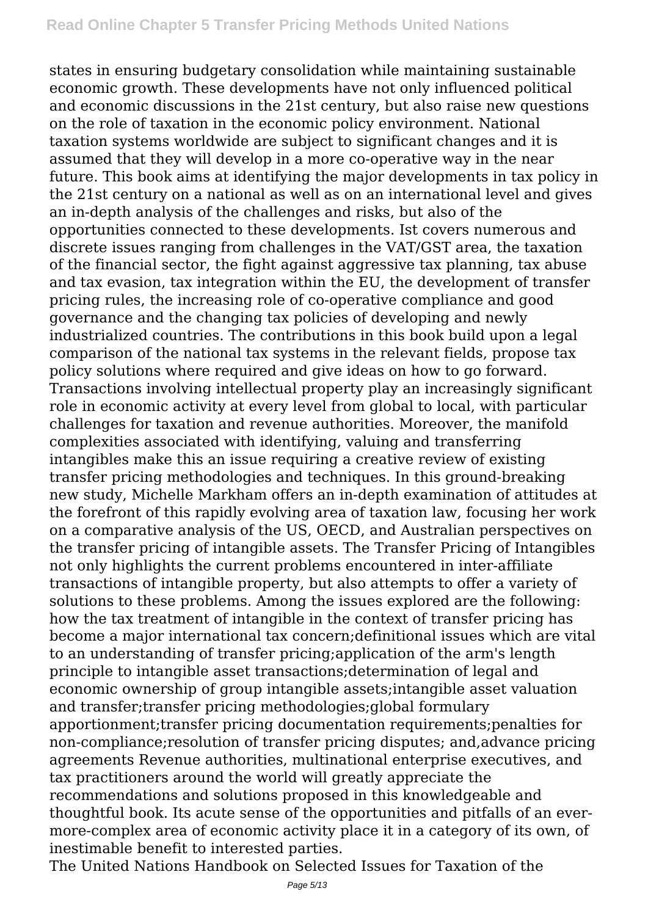states in ensuring budgetary consolidation while maintaining sustainable economic growth. These developments have not only influenced political and economic discussions in the 21st century, but also raise new questions on the role of taxation in the economic policy environment. National taxation systems worldwide are subject to significant changes and it is assumed that they will develop in a more co-operative way in the near future. This book aims at identifying the major developments in tax policy in the 21st century on a national as well as on an international level and gives an in-depth analysis of the challenges and risks, but also of the opportunities connected to these developments. Ist covers numerous and discrete issues ranging from challenges in the VAT/GST area, the taxation of the financial sector, the fight against aggressive tax planning, tax abuse and tax evasion, tax integration within the EU, the development of transfer pricing rules, the increasing role of co-operative compliance and good governance and the changing tax policies of developing and newly industrialized countries. The contributions in this book build upon a legal comparison of the national tax systems in the relevant fields, propose tax policy solutions where required and give ideas on how to go forward. Transactions involving intellectual property play an increasingly significant role in economic activity at every level from global to local, with particular challenges for taxation and revenue authorities. Moreover, the manifold complexities associated with identifying, valuing and transferring intangibles make this an issue requiring a creative review of existing transfer pricing methodologies and techniques. In this ground-breaking new study, Michelle Markham offers an in-depth examination of attitudes at the forefront of this rapidly evolving area of taxation law, focusing her work on a comparative analysis of the US, OECD, and Australian perspectives on the transfer pricing of intangible assets. The Transfer Pricing of Intangibles not only highlights the current problems encountered in inter-affiliate transactions of intangible property, but also attempts to offer a variety of solutions to these problems. Among the issues explored are the following: how the tax treatment of intangible in the context of transfer pricing has become a major international tax concern;definitional issues which are vital to an understanding of transfer pricing;application of the arm's length principle to intangible asset transactions;determination of legal and economic ownership of group intangible assets;intangible asset valuation and transfer;transfer pricing methodologies;global formulary apportionment;transfer pricing documentation requirements;penalties for non-compliance;resolution of transfer pricing disputes; and,advance pricing agreements Revenue authorities, multinational enterprise executives, and tax practitioners around the world will greatly appreciate the recommendations and solutions proposed in this knowledgeable and thoughtful book. Its acute sense of the opportunities and pitfalls of an evermore-complex area of economic activity place it in a category of its own, of inestimable benefit to interested parties.

The United Nations Handbook on Selected Issues for Taxation of the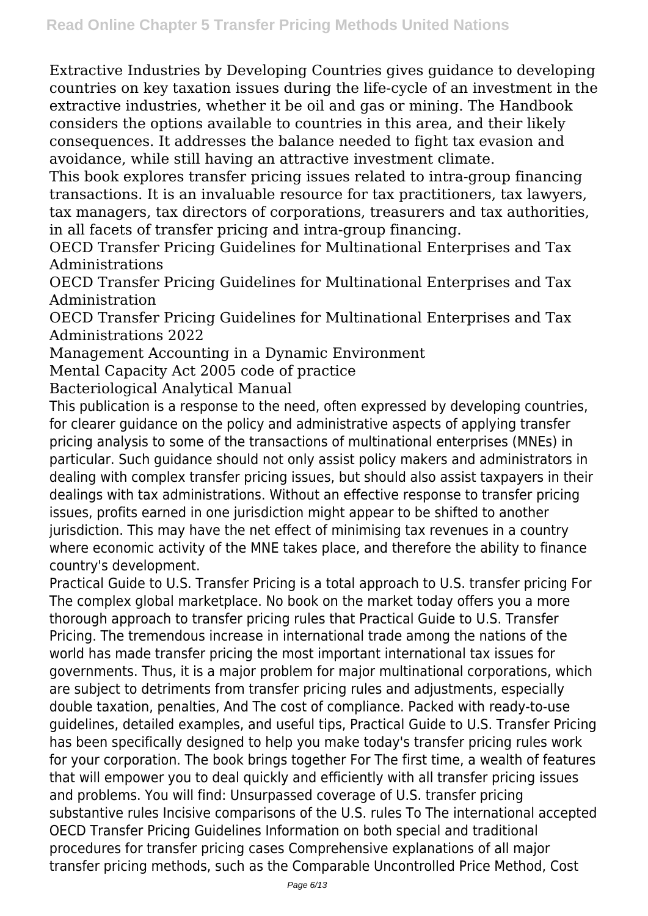Extractive Industries by Developing Countries gives guidance to developing countries on key taxation issues during the life-cycle of an investment in the extractive industries, whether it be oil and gas or mining. The Handbook considers the options available to countries in this area, and their likely consequences. It addresses the balance needed to fight tax evasion and avoidance, while still having an attractive investment climate.

This book explores transfer pricing issues related to intra-group financing transactions. It is an invaluable resource for tax practitioners, tax lawyers, tax managers, tax directors of corporations, treasurers and tax authorities, in all facets of transfer pricing and intra-group financing.

OECD Transfer Pricing Guidelines for Multinational Enterprises and Tax Administrations

OECD Transfer Pricing Guidelines for Multinational Enterprises and Tax Administration

OECD Transfer Pricing Guidelines for Multinational Enterprises and Tax Administrations 2022

Management Accounting in a Dynamic Environment

Mental Capacity Act 2005 code of practice

Bacteriological Analytical Manual

This publication is a response to the need, often expressed by developing countries, for clearer guidance on the policy and administrative aspects of applying transfer pricing analysis to some of the transactions of multinational enterprises (MNEs) in particular. Such guidance should not only assist policy makers and administrators in dealing with complex transfer pricing issues, but should also assist taxpayers in their dealings with tax administrations. Without an effective response to transfer pricing issues, profits earned in one jurisdiction might appear to be shifted to another jurisdiction. This may have the net effect of minimising tax revenues in a country where economic activity of the MNE takes place, and therefore the ability to finance country's development.

Practical Guide to U.S. Transfer Pricing is a total approach to U.S. transfer pricing For The complex global marketplace. No book on the market today offers you a more thorough approach to transfer pricing rules that Practical Guide to U.S. Transfer Pricing. The tremendous increase in international trade among the nations of the world has made transfer pricing the most important international tax issues for governments. Thus, it is a major problem for major multinational corporations, which are subject to detriments from transfer pricing rules and adjustments, especially double taxation, penalties, And The cost of compliance. Packed with ready-to-use guidelines, detailed examples, and useful tips, Practical Guide to U.S. Transfer Pricing has been specifically designed to help you make today's transfer pricing rules work for your corporation. The book brings together For The first time, a wealth of features that will empower you to deal quickly and efficiently with all transfer pricing issues and problems. You will find: Unsurpassed coverage of U.S. transfer pricing substantive rules Incisive comparisons of the U.S. rules To The international accepted OECD Transfer Pricing Guidelines Information on both special and traditional procedures for transfer pricing cases Comprehensive explanations of all major transfer pricing methods, such as the Comparable Uncontrolled Price Method, Cost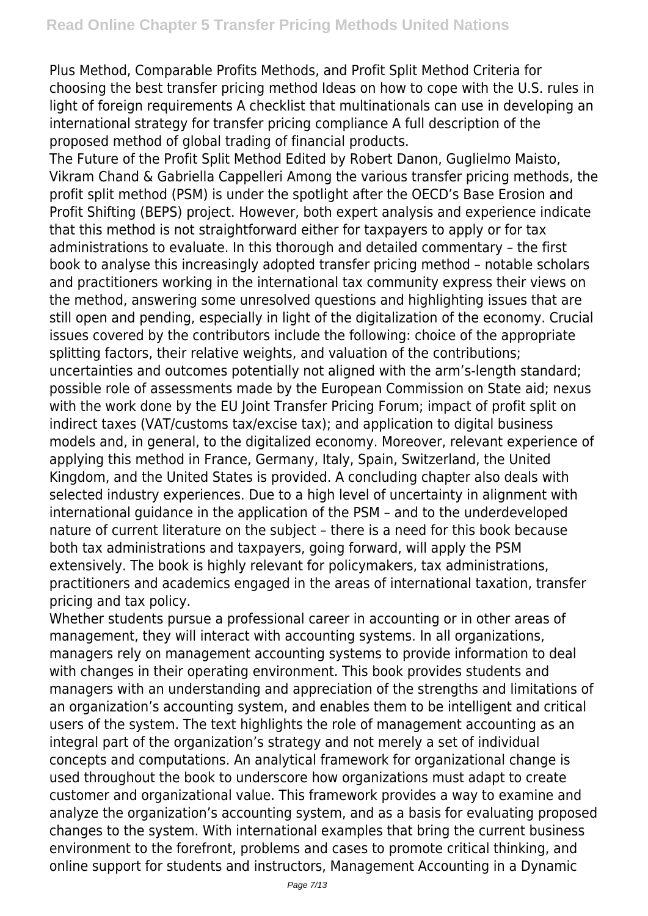Plus Method, Comparable Profits Methods, and Profit Split Method Criteria for choosing the best transfer pricing method Ideas on how to cope with the U.S. rules in light of foreign requirements A checklist that multinationals can use in developing an international strategy for transfer pricing compliance A full description of the proposed method of global trading of financial products.

The Future of the Profit Split Method Edited by Robert Danon, Guglielmo Maisto, Vikram Chand & Gabriella Cappelleri Among the various transfer pricing methods, the profit split method (PSM) is under the spotlight after the OECD's Base Erosion and Profit Shifting (BEPS) project. However, both expert analysis and experience indicate that this method is not straightforward either for taxpayers to apply or for tax administrations to evaluate. In this thorough and detailed commentary – the first book to analyse this increasingly adopted transfer pricing method – notable scholars and practitioners working in the international tax community express their views on the method, answering some unresolved questions and highlighting issues that are still open and pending, especially in light of the digitalization of the economy. Crucial issues covered by the contributors include the following: choice of the appropriate splitting factors, their relative weights, and valuation of the contributions; uncertainties and outcomes potentially not aligned with the arm's-length standard; possible role of assessments made by the European Commission on State aid; nexus with the work done by the EU Joint Transfer Pricing Forum; impact of profit split on indirect taxes (VAT/customs tax/excise tax); and application to digital business models and, in general, to the digitalized economy. Moreover, relevant experience of applying this method in France, Germany, Italy, Spain, Switzerland, the United Kingdom, and the United States is provided. A concluding chapter also deals with selected industry experiences. Due to a high level of uncertainty in alignment with international guidance in the application of the PSM – and to the underdeveloped nature of current literature on the subject – there is a need for this book because both tax administrations and taxpayers, going forward, will apply the PSM extensively. The book is highly relevant for policymakers, tax administrations, practitioners and academics engaged in the areas of international taxation, transfer pricing and tax policy.

Whether students pursue a professional career in accounting or in other areas of management, they will interact with accounting systems. In all organizations, managers rely on management accounting systems to provide information to deal with changes in their operating environment. This book provides students and managers with an understanding and appreciation of the strengths and limitations of an organization's accounting system, and enables them to be intelligent and critical users of the system. The text highlights the role of management accounting as an integral part of the organization's strategy and not merely a set of individual concepts and computations. An analytical framework for organizational change is used throughout the book to underscore how organizations must adapt to create customer and organizational value. This framework provides a way to examine and analyze the organization's accounting system, and as a basis for evaluating proposed changes to the system. With international examples that bring the current business environment to the forefront, problems and cases to promote critical thinking, and online support for students and instructors, Management Accounting in a Dynamic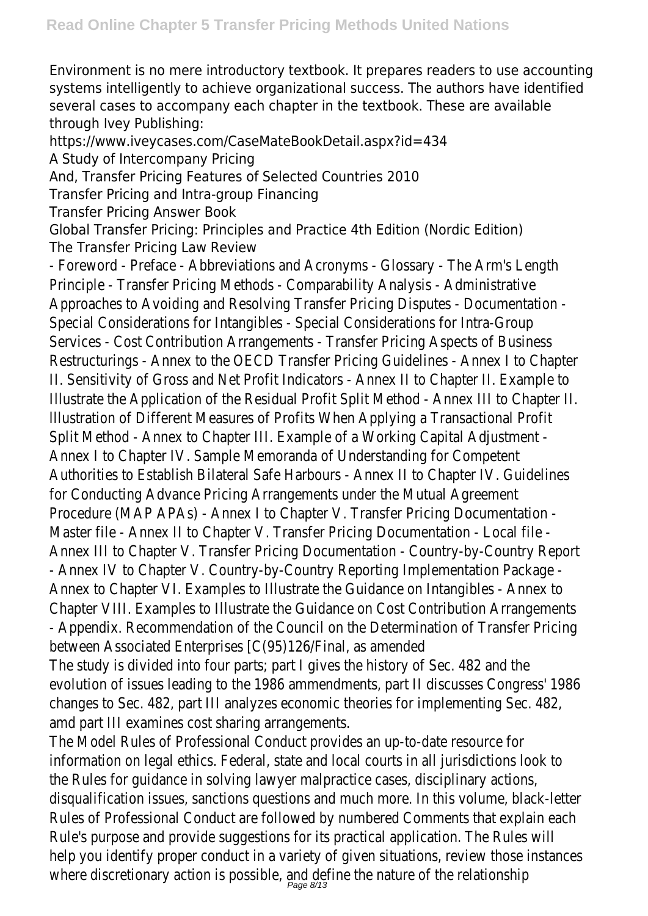Environment is no mere introductory textbook. It prepares readers to use accounting systems intelligently to achieve organizational success. The authors have identified several cases to accompany each chapter in the textbook. These are available through Ivey Publishing:

https://www.iveycases.com/CaseMateBookDetail.aspx?id=434

A Study of Intercompany Pricing

And, Transfer Pricing Features of Selected Countries 2010

Transfer Pricing and Intra-group Financing

Transfer Pricing Answer Book

Global Transfer Pricing: Principles and Practice 4th Edition (Nordic Edition)

The Transfer Pricing Law Review

- Foreword - Preface - Abbreviations and Acronyms - Glossary - The Principle - Transfer Pricing Methods - Comparability Analysis - Admin Approaches to Avoiding and Resolving Transfer Pricing Disputes - Do Special Considerations for Intangibles - Special Considerations for Int Services - Cost Contribution Arrangements - Transfer Pricing Aspect Restructurings - Annex to the OECD Transfer Pricing Guidelines - An II. Sensitivity of Gross and Net Profit Indicators - Annex II to Chapte Illustrate the Application of the Residual Profit Split Method - Annex Illustration of Different Measures of Profits When Applying a Transa Split Method - Annex to Chapter III. Example of a Working Capital Ad Annex I to Chapter IV. Sample Memoranda of Understanding for Com Authorities to Establish Bilateral Safe Harbours - Annex II to Chapter for Conducting Advance Pricing Arrangements under the Mutual Agreements Procedure (MAP APAs) - Annex I to Chapter V. Transfer Pricing Docu Master file - Annex II to Chapter V. Transfer Pricing Documentation Annex III to Chapter V. Transfer Pricing Documentation - Country-by - Annex IV to Chapter V. Country-by-Country Reporting Implementat Annex to Chapter VI. Examples to Illustrate the Guidance on Intangib Chapter VIII. Examples to Illustrate the Guidance on Cost Contribution - Appendix. Recommendation of the Council on the Determination of

between Associated Enterprises [C(95)126/Final, as amended

The study is divided into four parts; part I gives the history of Sec. evolution of issues leading to the 1986 ammendments, part II discus changes to Sec. 482, part III analyzes economic theories for impleme amd part III examines cost sharing arrangements.

The Model Rules of Professional Conduct provides an up-to-date res information on legal ethics. Federal, state and local courts in all juris the Rules for guidance in solving lawyer malpractice cases, disciplina disqualification issues, sanctions questions and much more. In this v Rules of Professional Conduct are followed by numbered Comments Rule's purpose and provide suggestions for its practical application. help you identify proper conduct in a variety of given situations, review where discretionary action is possible, and define the nature of the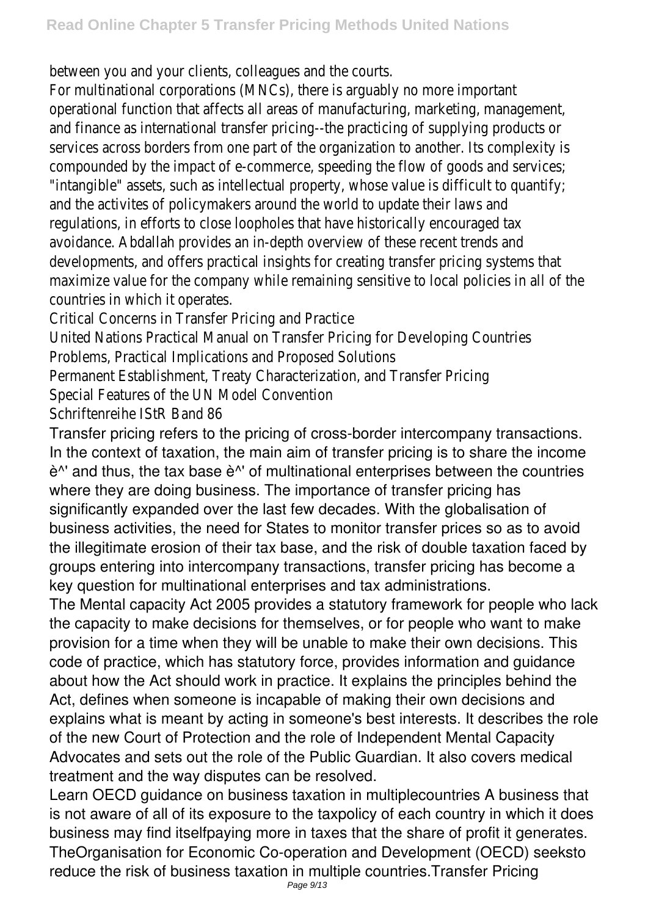between you and your clients, colleagues and the courts.

For multinational corporations (MNCs), there is arguably no more im operational function that affects all areas of manufacturing, market and finance as international transfer pricing--the practicing of supply services across borders from one part of the organization to anothercompounded by the impact of e-commerce, speeding the flow of good "intangible" assets, such as intellectual property, whose value is diffi and the activites of policymakers around the world to update their regulations, in efforts to close loopholes that have historically encouraged tax avoidance. Abdallah provides an in-depth overview of these recent tr developments, and offers practical insights for creating transfer pric maximize value for the company while remaining sensitive to local po countries in which it operates.

Critical Concerns in Transfer Pricing and Practice

United Nations Practical Manual on Transfer Pricing for Developing C Problems, Practical Implications and Proposed Solutions

Permanent Establishment, Treaty Characterization, and Transfer Pric Special Features of the UN Model Convention

Schriftenreihe IStR Band 86

Transfer pricing refers to the pricing of cross-border intercompany transactions. In the context of taxation, the main aim of transfer pricing is to share the income è^' and thus, the tax base è^' of multinational enterprises between the countries where they are doing business. The importance of transfer pricing has significantly expanded over the last few decades. With the globalisation of business activities, the need for States to monitor transfer prices so as to avoid the illegitimate erosion of their tax base, and the risk of double taxation faced by groups entering into intercompany transactions, transfer pricing has become a key question for multinational enterprises and tax administrations.

The Mental capacity Act 2005 provides a statutory framework for people who lack the capacity to make decisions for themselves, or for people who want to make provision for a time when they will be unable to make their own decisions. This code of practice, which has statutory force, provides information and guidance about how the Act should work in practice. It explains the principles behind the Act, defines when someone is incapable of making their own decisions and explains what is meant by acting in someone's best interests. It describes the role of the new Court of Protection and the role of Independent Mental Capacity Advocates and sets out the role of the Public Guardian. It also covers medical treatment and the way disputes can be resolved.

Learn OECD guidance on business taxation in multiplecountries A business that is not aware of all of its exposure to the taxpolicy of each country in which it does business may find itselfpaying more in taxes that the share of profit it generates. TheOrganisation for Economic Co-operation and Development (OECD) seeksto reduce the risk of business taxation in multiple countries.Transfer Pricing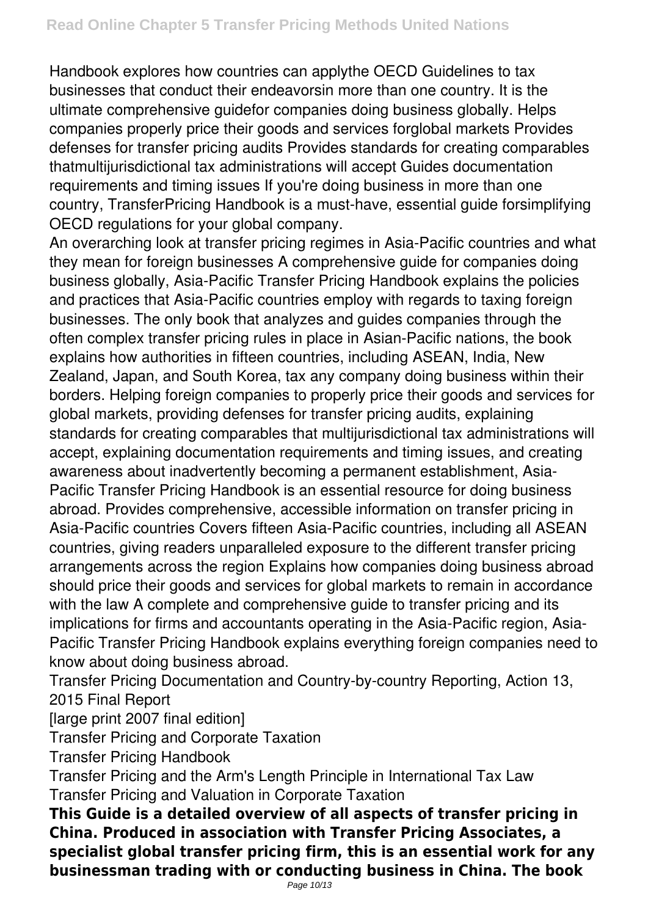Handbook explores how countries can applythe OECD Guidelines to tax businesses that conduct their endeavorsin more than one country. It is the ultimate comprehensive guidefor companies doing business globally. Helps companies properly price their goods and services forglobal markets Provides defenses for transfer pricing audits Provides standards for creating comparables thatmultijurisdictional tax administrations will accept Guides documentation requirements and timing issues If you're doing business in more than one country, TransferPricing Handbook is a must-have, essential guide forsimplifying OECD regulations for your global company.

An overarching look at transfer pricing regimes in Asia-Pacific countries and what they mean for foreign businesses A comprehensive guide for companies doing business globally, Asia-Pacific Transfer Pricing Handbook explains the policies and practices that Asia-Pacific countries employ with regards to taxing foreign businesses. The only book that analyzes and guides companies through the often complex transfer pricing rules in place in Asian-Pacific nations, the book explains how authorities in fifteen countries, including ASEAN, India, New Zealand, Japan, and South Korea, tax any company doing business within their borders. Helping foreign companies to properly price their goods and services for global markets, providing defenses for transfer pricing audits, explaining standards for creating comparables that multijurisdictional tax administrations will accept, explaining documentation requirements and timing issues, and creating awareness about inadvertently becoming a permanent establishment, Asia-Pacific Transfer Pricing Handbook is an essential resource for doing business abroad. Provides comprehensive, accessible information on transfer pricing in Asia-Pacific countries Covers fifteen Asia-Pacific countries, including all ASEAN countries, giving readers unparalleled exposure to the different transfer pricing arrangements across the region Explains how companies doing business abroad should price their goods and services for global markets to remain in accordance with the law A complete and comprehensive quide to transfer pricing and its implications for firms and accountants operating in the Asia-Pacific region, Asia-Pacific Transfer Pricing Handbook explains everything foreign companies need to know about doing business abroad.

Transfer Pricing Documentation and Country-by-country Reporting, Action 13, 2015 Final Report

[large print 2007 final edition]

Transfer Pricing and Corporate Taxation

Transfer Pricing Handbook

Transfer Pricing and the Arm's Length Principle in International Tax Law Transfer Pricing and Valuation in Corporate Taxation

**This Guide is a detailed overview of all aspects of transfer pricing in China. Produced in association with Transfer Pricing Associates, a specialist global transfer pricing firm, this is an essential work for any businessman trading with or conducting business in China. The book**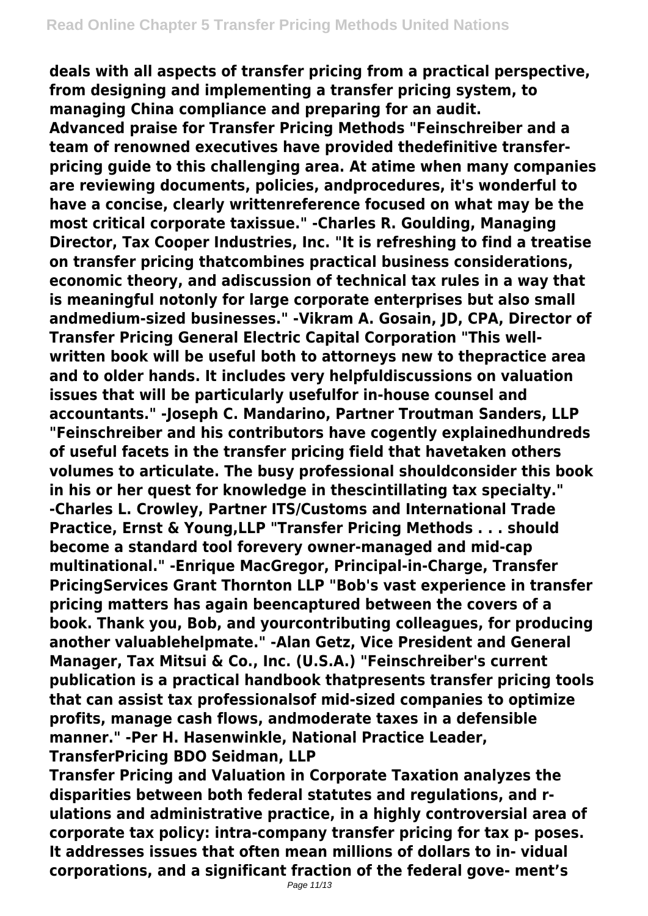**deals with all aspects of transfer pricing from a practical perspective, from designing and implementing a transfer pricing system, to managing China compliance and preparing for an audit.**

**Advanced praise for Transfer Pricing Methods "Feinschreiber and a team of renowned executives have provided thedefinitive transferpricing guide to this challenging area. At atime when many companies are reviewing documents, policies, andprocedures, it's wonderful to have a concise, clearly writtenreference focused on what may be the most critical corporate taxissue." -Charles R. Goulding, Managing Director, Tax Cooper Industries, Inc. "It is refreshing to find a treatise on transfer pricing thatcombines practical business considerations, economic theory, and adiscussion of technical tax rules in a way that is meaningful notonly for large corporate enterprises but also small andmedium-sized businesses." -Vikram A. Gosain, JD, CPA, Director of Transfer Pricing General Electric Capital Corporation "This wellwritten book will be useful both to attorneys new to thepractice area and to older hands. It includes very helpfuldiscussions on valuation issues that will be particularly usefulfor in-house counsel and accountants." -Joseph C. Mandarino, Partner Troutman Sanders, LLP "Feinschreiber and his contributors have cogently explainedhundreds of useful facets in the transfer pricing field that havetaken others volumes to articulate. The busy professional shouldconsider this book in his or her quest for knowledge in thescintillating tax specialty." -Charles L. Crowley, Partner ITS/Customs and International Trade Practice, Ernst & Young,LLP "Transfer Pricing Methods . . . should become a standard tool forevery owner-managed and mid-cap multinational." -Enrique MacGregor, Principal-in-Charge, Transfer PricingServices Grant Thornton LLP "Bob's vast experience in transfer pricing matters has again beencaptured between the covers of a book. Thank you, Bob, and yourcontributing colleagues, for producing another valuablehelpmate." -Alan Getz, Vice President and General Manager, Tax Mitsui & Co., Inc. (U.S.A.) "Feinschreiber's current publication is a practical handbook thatpresents transfer pricing tools that can assist tax professionalsof mid-sized companies to optimize profits, manage cash flows, andmoderate taxes in a defensible manner." -Per H. Hasenwinkle, National Practice Leader, TransferPricing BDO Seidman, LLP**

**Transfer Pricing and Valuation in Corporate Taxation analyzes the disparities between both federal statutes and regulations, and rulations and administrative practice, in a highly controversial area of corporate tax policy: intra-company transfer pricing for tax p- poses. It addresses issues that often mean millions of dollars to in- vidual corporations, and a significant fraction of the federal gove- ment's**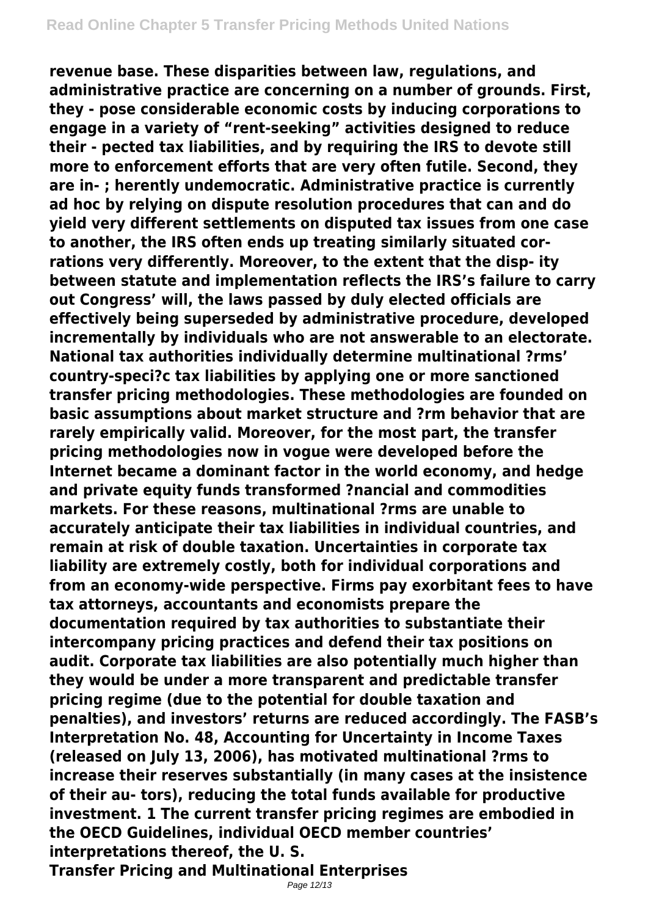**revenue base. These disparities between law, regulations, and administrative practice are concerning on a number of grounds. First, they - pose considerable economic costs by inducing corporations to engage in a variety of "rent-seeking" activities designed to reduce their - pected tax liabilities, and by requiring the IRS to devote still more to enforcement efforts that are very often futile. Second, they are in- ; herently undemocratic. Administrative practice is currently ad hoc by relying on dispute resolution procedures that can and do yield very different settlements on disputed tax issues from one case to another, the IRS often ends up treating similarly situated corrations very differently. Moreover, to the extent that the disp- ity between statute and implementation reflects the IRS's failure to carry out Congress' will, the laws passed by duly elected officials are effectively being superseded by administrative procedure, developed incrementally by individuals who are not answerable to an electorate. National tax authorities individually determine multinational ?rms' country-speci?c tax liabilities by applying one or more sanctioned transfer pricing methodologies. These methodologies are founded on basic assumptions about market structure and ?rm behavior that are rarely empirically valid. Moreover, for the most part, the transfer pricing methodologies now in vogue were developed before the Internet became a dominant factor in the world economy, and hedge and private equity funds transformed ?nancial and commodities markets. For these reasons, multinational ?rms are unable to accurately anticipate their tax liabilities in individual countries, and remain at risk of double taxation. Uncertainties in corporate tax liability are extremely costly, both for individual corporations and from an economy-wide perspective. Firms pay exorbitant fees to have tax attorneys, accountants and economists prepare the documentation required by tax authorities to substantiate their intercompany pricing practices and defend their tax positions on audit. Corporate tax liabilities are also potentially much higher than they would be under a more transparent and predictable transfer pricing regime (due to the potential for double taxation and penalties), and investors' returns are reduced accordingly. The FASB's Interpretation No. 48, Accounting for Uncertainty in Income Taxes (released on July 13, 2006), has motivated multinational ?rms to increase their reserves substantially (in many cases at the insistence of their au- tors), reducing the total funds available for productive investment. 1 The current transfer pricing regimes are embodied in the OECD Guidelines, individual OECD member countries' interpretations thereof, the U. S. Transfer Pricing and Multinational Enterprises**